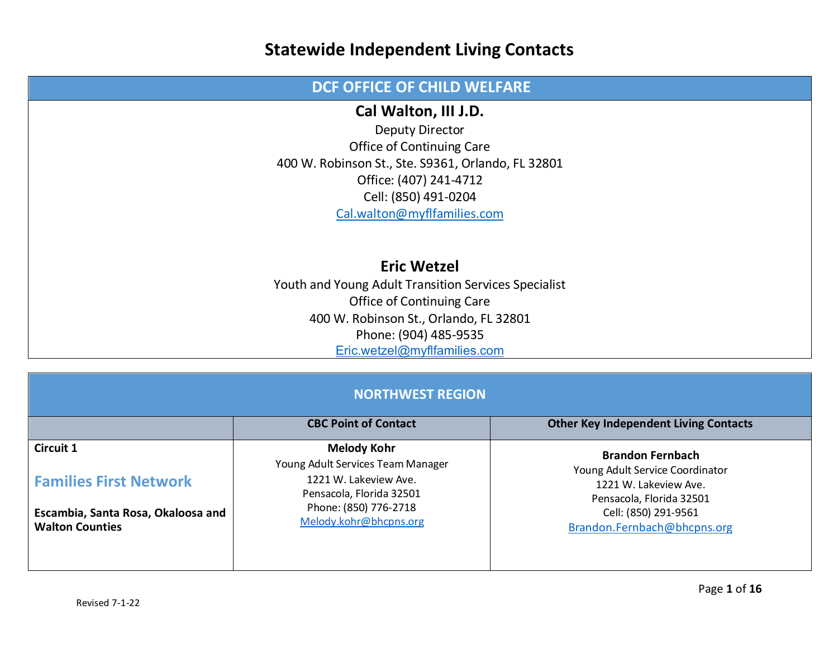#### **DCF OFFICE OF CHILD WELFARE Cal Walton, III J.D.** Deputy Director Office of Continuing Care 400 W. Robinson St., Ste. S9361, Orlando, FL 32801 Office: (407) 241-4712 Cell: (850) 491-0204 [Cal.walton@myflfamilies.com](mailto:Cal.walton@myflfamilies.com) **Eric Wetzel** Youth and Young Adult Transition Services Specialist Office of Continuing Care 400 W. Robinson St., Orlando, FL 32801 Phone: (904) 485-9535 [Eric.wetzel@myflfamilies.com](mailto:Eric.wetzel@myflfamilies.com)

| <b>NORTHWEST REGION</b>                                      |                                                         |                                                            |
|--------------------------------------------------------------|---------------------------------------------------------|------------------------------------------------------------|
|                                                              | <b>CBC Point of Contact</b>                             | <b>Other Key Independent Living Contacts</b>               |
| <b>Circuit 1</b>                                             | <b>Melody Kohr</b><br>Young Adult Services Team Manager | <b>Brandon Fernbach</b><br>Young Adult Service Coordinator |
| <b>Families First Network</b>                                | 1221 W. Lakeview Ave.<br>Pensacola, Florida 32501       | 1221 W. Lakeview Ave.<br>Pensacola, Florida 32501          |
| Escambia, Santa Rosa, Okaloosa and<br><b>Walton Counties</b> | Phone: (850) 776-2718<br>Melody.kohr@bhcpns.org         | Cell: (850) 291-9561<br>Brandon.Fernbach@bhcpns.org        |
|                                                              |                                                         |                                                            |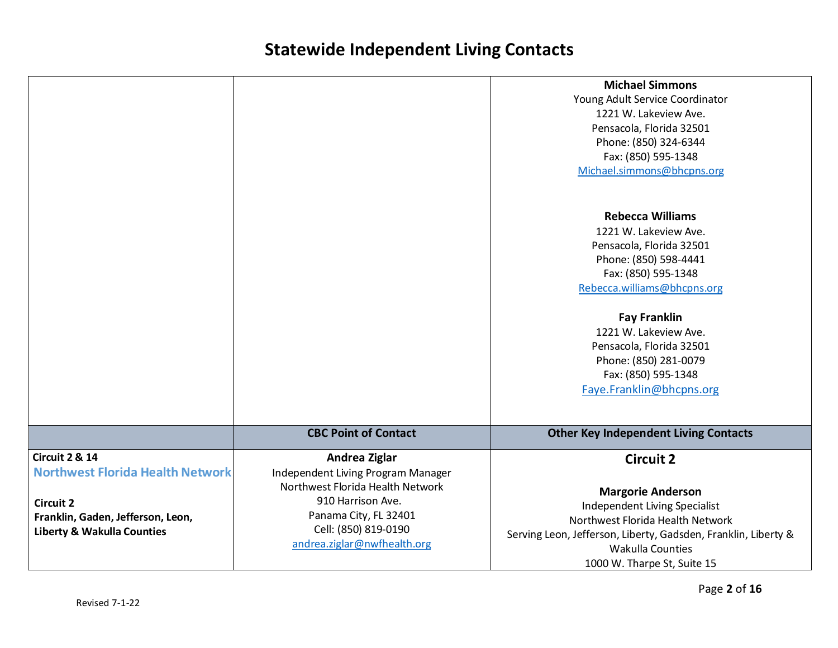|                                                                                                                                                                        |                                                                                                                                                                                              | <b>Michael Simmons</b><br>Young Adult Service Coordinator<br>1221 W. Lakeview Ave.<br>Pensacola, Florida 32501<br>Phone: (850) 324-6344<br>Fax: (850) 595-1348<br>Michael.simmons@bhcpns.org                                                  |
|------------------------------------------------------------------------------------------------------------------------------------------------------------------------|----------------------------------------------------------------------------------------------------------------------------------------------------------------------------------------------|-----------------------------------------------------------------------------------------------------------------------------------------------------------------------------------------------------------------------------------------------|
|                                                                                                                                                                        |                                                                                                                                                                                              | <b>Rebecca Williams</b><br>1221 W. Lakeview Ave.<br>Pensacola, Florida 32501<br>Phone: (850) 598-4441<br>Fax: (850) 595-1348<br>Rebecca.williams@bhcpns.org                                                                                   |
|                                                                                                                                                                        |                                                                                                                                                                                              | <b>Fay Franklin</b><br>1221 W. Lakeview Ave.<br>Pensacola, Florida 32501<br>Phone: (850) 281-0079<br>Fax: (850) 595-1348<br>Faye.Franklin@bhcpns.org                                                                                          |
|                                                                                                                                                                        | <b>CBC Point of Contact</b>                                                                                                                                                                  | <b>Other Key Independent Living Contacts</b>                                                                                                                                                                                                  |
| <b>Circuit 2 &amp; 14</b><br><b>Northwest Florida Health Network</b><br><b>Circuit 2</b><br>Franklin, Gaden, Jefferson, Leon,<br><b>Liberty &amp; Wakulla Counties</b> | Andrea Ziglar<br>Independent Living Program Manager<br>Northwest Florida Health Network<br>910 Harrison Ave.<br>Panama City, FL 32401<br>Cell: (850) 819-0190<br>andrea.ziglar@nwfhealth.org | <b>Circuit 2</b><br><b>Margorie Anderson</b><br>Independent Living Specialist<br>Northwest Florida Health Network<br>Serving Leon, Jefferson, Liberty, Gadsden, Franklin, Liberty &<br><b>Wakulla Counties</b><br>1000 W. Tharpe St, Suite 15 |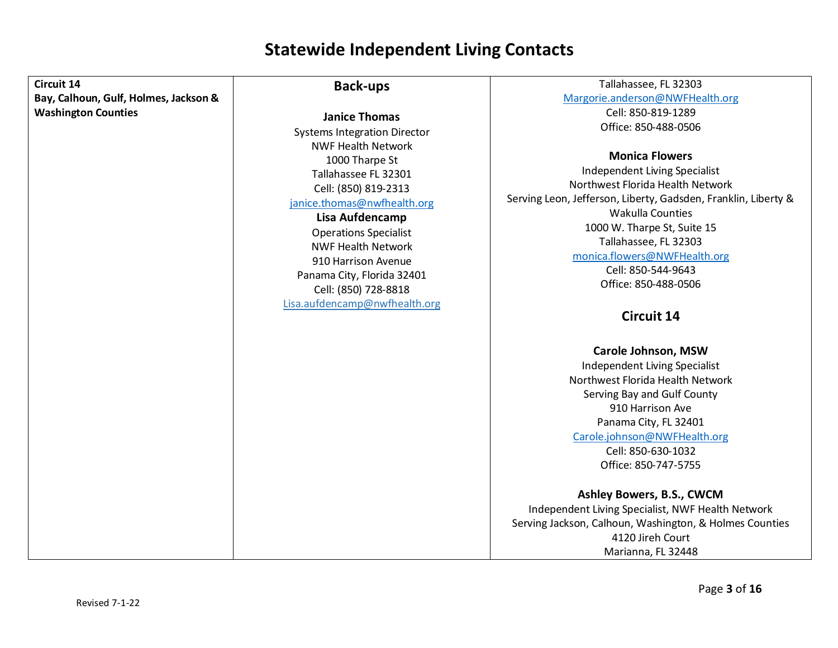| Circuit 14                            | <b>Back-ups</b>                                                                                                                                                                                                                                                                                        | Tallahassee, FL 32303                                                                                                                                                                                                                                                                                 |
|---------------------------------------|--------------------------------------------------------------------------------------------------------------------------------------------------------------------------------------------------------------------------------------------------------------------------------------------------------|-------------------------------------------------------------------------------------------------------------------------------------------------------------------------------------------------------------------------------------------------------------------------------------------------------|
| Bay, Calhoun, Gulf, Holmes, Jackson & |                                                                                                                                                                                                                                                                                                        | Margorie.anderson@NWFHealth.org                                                                                                                                                                                                                                                                       |
| <b>Washington Counties</b>            | <b>Janice Thomas</b>                                                                                                                                                                                                                                                                                   | Cell: 850-819-1289                                                                                                                                                                                                                                                                                    |
|                                       |                                                                                                                                                                                                                                                                                                        | Office: 850-488-0506                                                                                                                                                                                                                                                                                  |
|                                       | <b>Systems Integration Director</b><br><b>NWF Health Network</b><br>1000 Tharpe St<br>Tallahassee FL 32301<br>Cell: (850) 819-2313<br>janice.thomas@nwfhealth.org<br>Lisa Aufdencamp<br><b>Operations Specialist</b><br><b>NWF Health Network</b><br>910 Harrison Avenue<br>Panama City, Florida 32401 | <b>Monica Flowers</b><br>Independent Living Specialist<br>Northwest Florida Health Network<br>Serving Leon, Jefferson, Liberty, Gadsden, Franklin, Liberty &<br><b>Wakulla Counties</b><br>1000 W. Tharpe St, Suite 15<br>Tallahassee, FL 32303<br>monica.flowers@NWFHealth.org<br>Cell: 850-544-9643 |
|                                       | Cell: (850) 728-8818                                                                                                                                                                                                                                                                                   | Office: 850-488-0506                                                                                                                                                                                                                                                                                  |
|                                       | Lisa.aufdencamp@nwfhealth.org                                                                                                                                                                                                                                                                          | <b>Circuit 14</b>                                                                                                                                                                                                                                                                                     |
|                                       |                                                                                                                                                                                                                                                                                                        |                                                                                                                                                                                                                                                                                                       |
|                                       |                                                                                                                                                                                                                                                                                                        | Carole Johnson, MSW<br>Independent Living Specialist<br>Northwest Florida Health Network<br>Serving Bay and Gulf County<br>910 Harrison Ave<br>Panama City, FL 32401<br>Carole.johnson@NWFHealth.org<br>Cell: 850-630-1032<br>Office: 850-747-5755                                                    |
|                                       |                                                                                                                                                                                                                                                                                                        | Ashley Bowers, B.S., CWCM<br>Independent Living Specialist, NWF Health Network<br>Serving Jackson, Calhoun, Washington, & Holmes Counties<br>4120 Jireh Court<br>Marianna, FL 32448                                                                                                                   |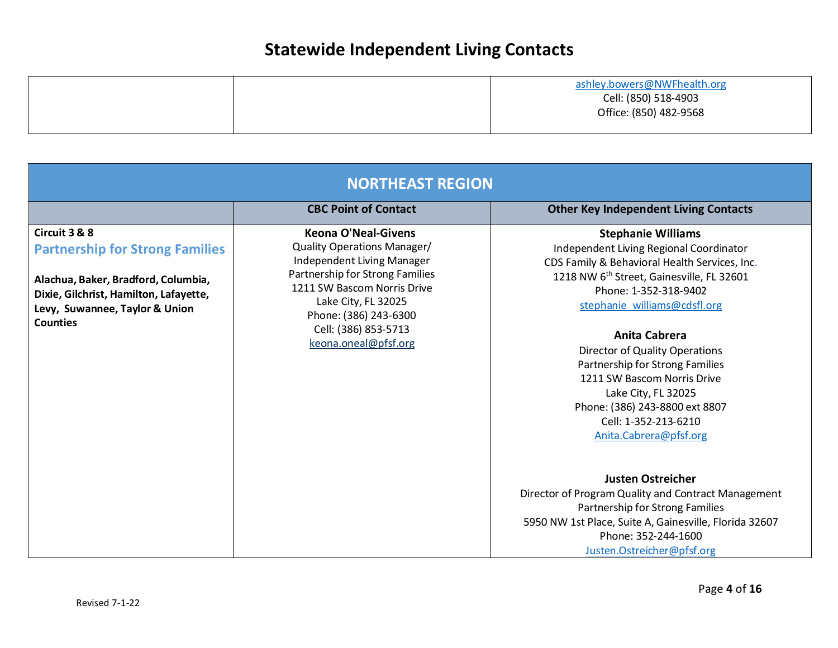|  | ashley.bowers@NWFhealth.org |
|--|-----------------------------|
|  | Cell: (850) 518-4903        |
|  | Office: (850) 482-9568      |
|  |                             |

| <b>NORTHEAST REGION</b>                                                                                                                                                                       |                                                                                                                                                                                                                                                           |                                                                                                                                                                                                                                                                                                                                                                                                                                                                         |
|-----------------------------------------------------------------------------------------------------------------------------------------------------------------------------------------------|-----------------------------------------------------------------------------------------------------------------------------------------------------------------------------------------------------------------------------------------------------------|-------------------------------------------------------------------------------------------------------------------------------------------------------------------------------------------------------------------------------------------------------------------------------------------------------------------------------------------------------------------------------------------------------------------------------------------------------------------------|
|                                                                                                                                                                                               | <b>CBC Point of Contact</b>                                                                                                                                                                                                                               | <b>Other Key Independent Living Contacts</b>                                                                                                                                                                                                                                                                                                                                                                                                                            |
| Circuit 3 & 8<br><b>Partnership for Strong Families</b><br>Alachua, Baker, Bradford, Columbia,<br>Dixie, Gilchrist, Hamilton, Lafayette,<br>Levy, Suwannee, Taylor & Union<br><b>Counties</b> | <b>Keona O'Neal-Givens</b><br>Quality Operations Manager/<br>Independent Living Manager<br>Partnership for Strong Families<br>1211 SW Bascom Norris Drive<br>Lake City, FL 32025<br>Phone: (386) 243-6300<br>Cell: (386) 853-5713<br>keona.oneal@pfsf.org | <b>Stephanie Williams</b><br>Independent Living Regional Coordinator<br>CDS Family & Behavioral Health Services, Inc.<br>1218 NW 6 <sup>th</sup> Street, Gainesville, FL 32601<br>Phone: 1-352-318-9402<br>stephanie williams@cdsfl.org<br>Anita Cabrera<br>Director of Quality Operations<br>Partnership for Strong Families<br>1211 SW Bascom Norris Drive<br>Lake City, FL 32025<br>Phone: (386) 243-8800 ext 8807<br>Cell: 1-352-213-6210<br>Anita.Cabrera@pfsf.org |
|                                                                                                                                                                                               |                                                                                                                                                                                                                                                           | <b>Justen Ostreicher</b><br>Director of Program Quality and Contract Management<br>Partnership for Strong Families<br>5950 NW 1st Place, Suite A, Gainesville, Florida 32607<br>Phone: 352-244-1600<br>Justen.Ostreicher@pfsf.org                                                                                                                                                                                                                                       |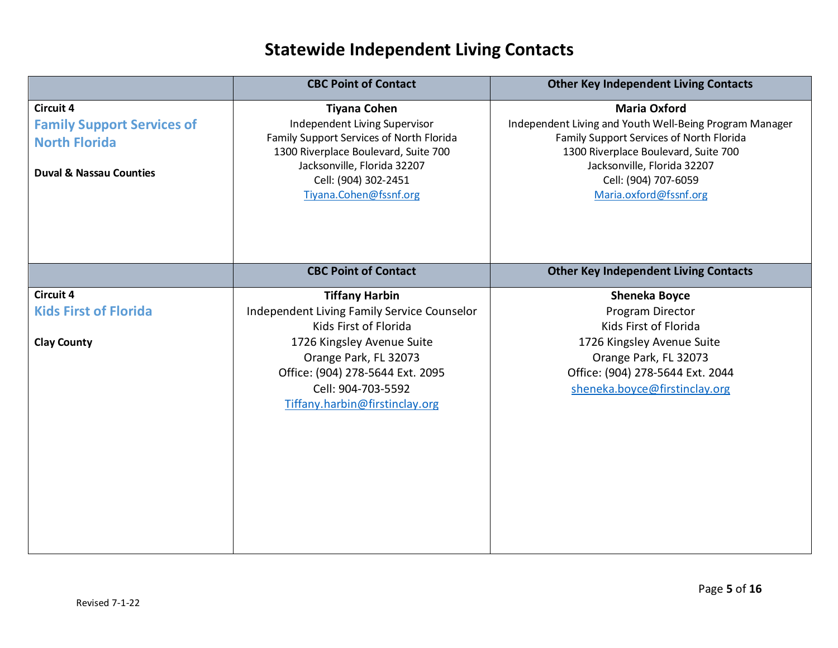|                                                       | <b>CBC Point of Contact</b>                                                                      | <b>Other Key Independent Living Contacts</b>                                                                               |
|-------------------------------------------------------|--------------------------------------------------------------------------------------------------|----------------------------------------------------------------------------------------------------------------------------|
| <b>Circuit 4</b><br><b>Family Support Services of</b> | <b>Tiyana Cohen</b><br>Independent Living Supervisor<br>Family Support Services of North Florida | <b>Maria Oxford</b><br>Independent Living and Youth Well-Being Program Manager<br>Family Support Services of North Florida |
| <b>North Florida</b>                                  | 1300 Riverplace Boulevard, Suite 700<br>Jacksonville, Florida 32207                              | 1300 Riverplace Boulevard, Suite 700<br>Jacksonville, Florida 32207                                                        |
| <b>Duval &amp; Nassau Counties</b>                    | Cell: (904) 302-2451<br>Tiyana.Cohen@fssnf.org                                                   | Cell: (904) 707-6059<br>Maria.oxford@fssnf.org                                                                             |
|                                                       |                                                                                                  |                                                                                                                            |
|                                                       |                                                                                                  |                                                                                                                            |
|                                                       | <b>CBC Point of Contact</b>                                                                      | <b>Other Key Independent Living Contacts</b>                                                                               |
| <b>Circuit 4</b>                                      | <b>Tiffany Harbin</b>                                                                            | <b>Sheneka Boyce</b>                                                                                                       |
| <b>Kids First of Florida</b>                          | Independent Living Family Service Counselor                                                      | Program Director                                                                                                           |
|                                                       | Kids First of Florida                                                                            | Kids First of Florida                                                                                                      |
| <b>Clay County</b>                                    | 1726 Kingsley Avenue Suite                                                                       | 1726 Kingsley Avenue Suite                                                                                                 |
|                                                       | Orange Park, FL 32073                                                                            | Orange Park, FL 32073                                                                                                      |
|                                                       | Office: (904) 278-5644 Ext. 2095                                                                 | Office: (904) 278-5644 Ext. 2044                                                                                           |
|                                                       | Cell: 904-703-5592                                                                               | sheneka.boyce@firstinclay.org                                                                                              |
|                                                       | Tiffany.harbin@firstinclay.org                                                                   |                                                                                                                            |
|                                                       |                                                                                                  |                                                                                                                            |
|                                                       |                                                                                                  |                                                                                                                            |
|                                                       |                                                                                                  |                                                                                                                            |
|                                                       |                                                                                                  |                                                                                                                            |
|                                                       |                                                                                                  |                                                                                                                            |
|                                                       |                                                                                                  |                                                                                                                            |
|                                                       |                                                                                                  |                                                                                                                            |
|                                                       |                                                                                                  |                                                                                                                            |
|                                                       |                                                                                                  |                                                                                                                            |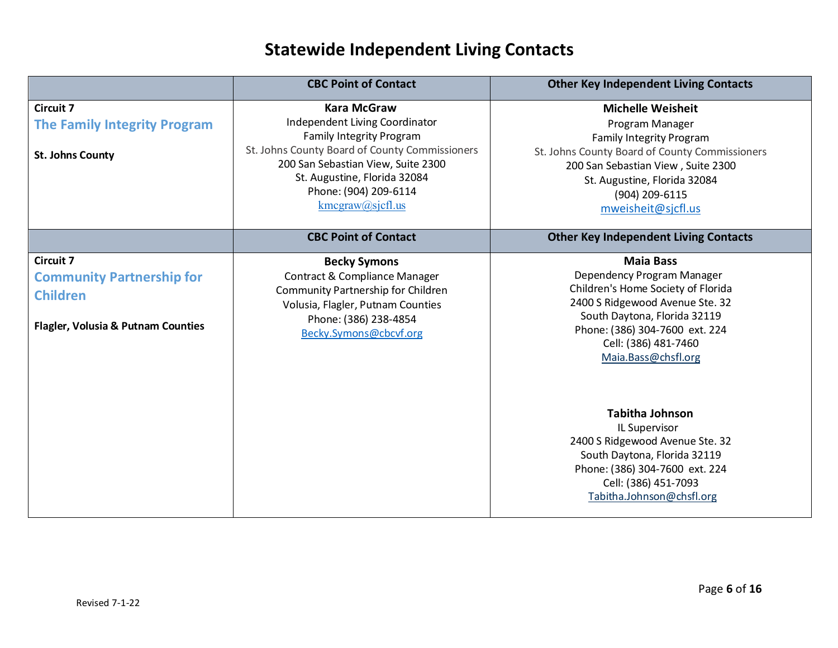|                                                                                                                          | <b>CBC Point of Contact</b>                                                                                                                                                                                                                                       | <b>Other Key Independent Living Contacts</b>                                                                                                                                                                                                   |
|--------------------------------------------------------------------------------------------------------------------------|-------------------------------------------------------------------------------------------------------------------------------------------------------------------------------------------------------------------------------------------------------------------|------------------------------------------------------------------------------------------------------------------------------------------------------------------------------------------------------------------------------------------------|
| <b>Circuit 7</b><br><b>The Family Integrity Program</b><br><b>St. Johns County</b>                                       | <b>Kara McGraw</b><br>Independent Living Coordinator<br><b>Family Integrity Program</b><br>St. Johns County Board of County Commissioners<br>200 San Sebastian View, Suite 2300<br>St. Augustine, Florida 32084<br>Phone: (904) 209-6114<br>$kmegraw(a)$ sjefl.us | <b>Michelle Weisheit</b><br>Program Manager<br><b>Family Integrity Program</b><br>St. Johns County Board of County Commissioners<br>200 San Sebastian View, Suite 2300<br>St. Augustine, Florida 32084<br>(904) 209-6115<br>mweisheit@sjcfl.us |
|                                                                                                                          | <b>CBC Point of Contact</b>                                                                                                                                                                                                                                       | <b>Other Key Independent Living Contacts</b>                                                                                                                                                                                                   |
| <b>Circuit 7</b><br><b>Community Partnership for</b><br><b>Children</b><br><b>Flagler, Volusia &amp; Putnam Counties</b> | <b>Becky Symons</b><br>Contract & Compliance Manager<br>Community Partnership for Children<br>Volusia, Flagler, Putnam Counties<br>Phone: (386) 238-4854<br>Becky.Symons@cbcvf.org                                                                                | <b>Maia Bass</b><br>Dependency Program Manager<br>Children's Home Society of Florida<br>2400 S Ridgewood Avenue Ste. 32<br>South Daytona, Florida 32119<br>Phone: (386) 304-7600 ext. 224<br>Cell: (386) 481-7460<br>Maia.Bass@chsfl.org       |
|                                                                                                                          |                                                                                                                                                                                                                                                                   | <b>Tabitha Johnson</b><br>IL Supervisor<br>2400 S Ridgewood Avenue Ste. 32<br>South Daytona, Florida 32119<br>Phone: (386) 304-7600 ext. 224<br>Cell: (386) 451-7093<br>Tabitha.Johnson@chsfl.org                                              |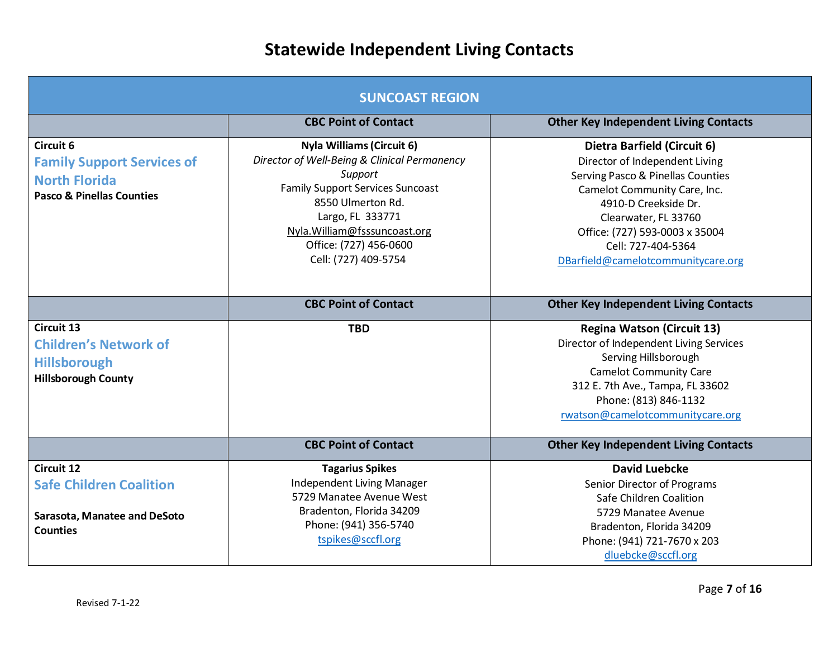| <b>SUNCOAST REGION</b>                                                                                         |                                                                                                                                                                                                                                                                    |                                                                                                                                                                                                                                                                                  |  |
|----------------------------------------------------------------------------------------------------------------|--------------------------------------------------------------------------------------------------------------------------------------------------------------------------------------------------------------------------------------------------------------------|----------------------------------------------------------------------------------------------------------------------------------------------------------------------------------------------------------------------------------------------------------------------------------|--|
|                                                                                                                | <b>CBC Point of Contact</b>                                                                                                                                                                                                                                        | <b>Other Key Independent Living Contacts</b>                                                                                                                                                                                                                                     |  |
| Circuit 6<br><b>Family Support Services of</b><br><b>North Florida</b><br><b>Pasco &amp; Pinellas Counties</b> | <b>Nyla Williams (Circuit 6)</b><br>Director of Well-Being & Clinical Permanency<br>Support<br><b>Family Support Services Suncoast</b><br>8550 Ulmerton Rd.<br>Largo, FL 333771<br>Nyla. William@fsssuncoast.org<br>Office: (727) 456-0600<br>Cell: (727) 409-5754 | Dietra Barfield (Circuit 6)<br>Director of Independent Living<br>Serving Pasco & Pinellas Counties<br>Camelot Community Care, Inc.<br>4910-D Creekside Dr.<br>Clearwater, FL 33760<br>Office: (727) 593-0003 x 35004<br>Cell: 727-404-5364<br>DBarfield@camelotcommunitycare.org |  |
|                                                                                                                | <b>CBC Point of Contact</b>                                                                                                                                                                                                                                        | <b>Other Key Independent Living Contacts</b>                                                                                                                                                                                                                                     |  |
| Circuit 13<br><b>Children's Network of</b><br><b>Hillsborough</b><br><b>Hillsborough County</b>                | <b>TBD</b>                                                                                                                                                                                                                                                         | <b>Regina Watson (Circuit 13)</b><br>Director of Independent Living Services<br>Serving Hillsborough<br><b>Camelot Community Care</b><br>312 E. 7th Ave., Tampa, FL 33602<br>Phone: (813) 846-1132<br>rwatson@camelotcommunitycare.org                                           |  |
|                                                                                                                | <b>CBC Point of Contact</b>                                                                                                                                                                                                                                        | <b>Other Key Independent Living Contacts</b>                                                                                                                                                                                                                                     |  |
| Circuit 12<br><b>Safe Children Coalition</b><br>Sarasota, Manatee and DeSoto                                   | <b>Tagarius Spikes</b><br>Independent Living Manager<br>5729 Manatee Avenue West<br>Bradenton, Florida 34209                                                                                                                                                       | <b>David Luebcke</b><br>Senior Director of Programs<br>Safe Children Coalition<br>5729 Manatee Avenue                                                                                                                                                                            |  |
| <b>Counties</b>                                                                                                | Phone: (941) 356-5740<br>tspikes@sccfl.org                                                                                                                                                                                                                         | Bradenton, Florida 34209<br>Phone: (941) 721-7670 x 203<br>dluebcke@sccfl.org                                                                                                                                                                                                    |  |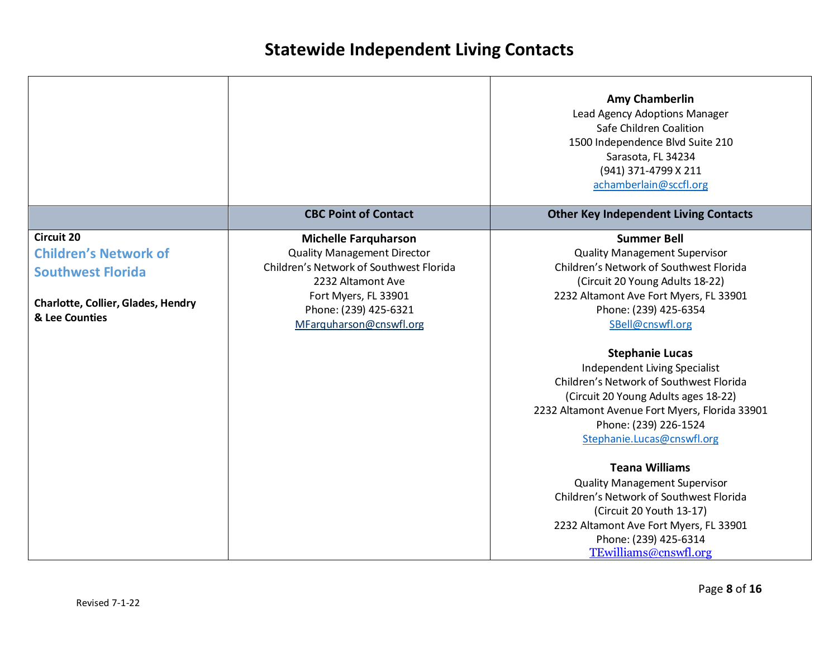|                                                                                                                                              |                                                                                                                                                                                                               | <b>Amy Chamberlin</b><br>Lead Agency Adoptions Manager<br>Safe Children Coalition<br>1500 Independence Blvd Suite 210<br>Sarasota, FL 34234<br>(941) 371-4799 X 211<br>achamberlain@sccfl.org                                                                                                                                                                                                                                                                                                                                                                                                                                                                                                                              |
|----------------------------------------------------------------------------------------------------------------------------------------------|---------------------------------------------------------------------------------------------------------------------------------------------------------------------------------------------------------------|----------------------------------------------------------------------------------------------------------------------------------------------------------------------------------------------------------------------------------------------------------------------------------------------------------------------------------------------------------------------------------------------------------------------------------------------------------------------------------------------------------------------------------------------------------------------------------------------------------------------------------------------------------------------------------------------------------------------------|
|                                                                                                                                              | <b>CBC Point of Contact</b>                                                                                                                                                                                   | <b>Other Key Independent Living Contacts</b>                                                                                                                                                                                                                                                                                                                                                                                                                                                                                                                                                                                                                                                                               |
| <b>Circuit 20</b><br><b>Children's Network of</b><br><b>Southwest Florida</b><br><b>Charlotte, Collier, Glades, Hendry</b><br>& Lee Counties | <b>Michelle Farquharson</b><br><b>Quality Management Director</b><br>Children's Network of Southwest Florida<br>2232 Altamont Ave<br>Fort Myers, FL 33901<br>Phone: (239) 425-6321<br>MFarquharson@cnswfl.org | <b>Summer Bell</b><br><b>Quality Management Supervisor</b><br>Children's Network of Southwest Florida<br>(Circuit 20 Young Adults 18-22)<br>2232 Altamont Ave Fort Myers, FL 33901<br>Phone: (239) 425-6354<br>SBell@cnswfl.org<br><b>Stephanie Lucas</b><br>Independent Living Specialist<br>Children's Network of Southwest Florida<br>(Circuit 20 Young Adults ages 18-22)<br>2232 Altamont Avenue Fort Myers, Florida 33901<br>Phone: (239) 226-1524<br>Stephanie.Lucas@cnswfl.org<br><b>Teana Williams</b><br><b>Quality Management Supervisor</b><br>Children's Network of Southwest Florida<br>(Circuit 20 Youth 13-17)<br>2232 Altamont Ave Fort Myers, FL 33901<br>Phone: (239) 425-6314<br>TEwilliams@cnswfl.org |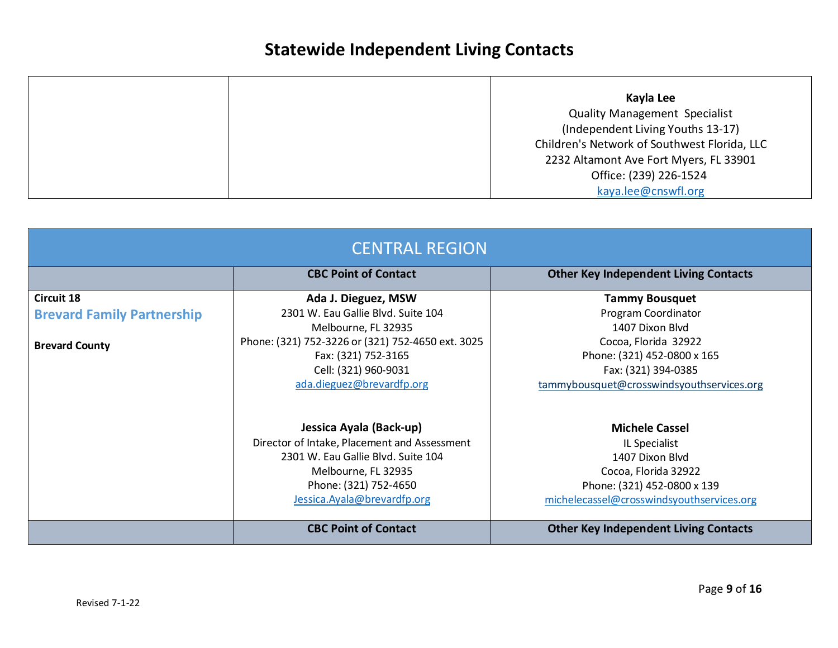|  | Kayla Lee                                    |
|--|----------------------------------------------|
|  | <b>Quality Management Specialist</b>         |
|  | (Independent Living Youths 13-17)            |
|  | Children's Network of Southwest Florida, LLC |
|  | 2232 Altamont Ave Fort Myers, FL 33901       |
|  | Office: (239) 226-1524                       |
|  | kaya.lee@cnswfl.org                          |

| <b>CENTRAL REGION</b>             |                                                   |                                              |  |
|-----------------------------------|---------------------------------------------------|----------------------------------------------|--|
|                                   | <b>CBC Point of Contact</b>                       | <b>Other Key Independent Living Contacts</b> |  |
| Circuit 18                        | Ada J. Dieguez, MSW                               | <b>Tammy Bousquet</b>                        |  |
| <b>Brevard Family Partnership</b> | 2301 W. Eau Gallie Blvd. Suite 104                | Program Coordinator                          |  |
|                                   | Melbourne, FL 32935                               | 1407 Dixon Blvd                              |  |
| <b>Brevard County</b>             | Phone: (321) 752-3226 or (321) 752-4650 ext. 3025 | Cocoa, Florida 32922                         |  |
|                                   | Fax: (321) 752-3165                               | Phone: (321) 452-0800 x 165                  |  |
|                                   | Cell: (321) 960-9031                              | Fax: (321) 394-0385                          |  |
|                                   | ada.dieguez@brevardfp.org                         | tammybousquet@crosswindsyouthservices.org    |  |
|                                   | Jessica Ayala (Back-up)                           | <b>Michele Cassel</b>                        |  |
|                                   | Director of Intake, Placement and Assessment      | IL Specialist                                |  |
|                                   | 2301 W. Eau Gallie Blvd. Suite 104                | 1407 Dixon Blvd                              |  |
|                                   | Melbourne, FL 32935                               | Cocoa, Florida 32922                         |  |
|                                   | Phone: (321) 752-4650                             | Phone: (321) 452-0800 x 139                  |  |
|                                   | Jessica.Ayala@brevardfp.org                       | michelecassel@crosswindsyouthservices.org    |  |
|                                   | <b>CBC Point of Contact</b>                       | <b>Other Key Independent Living Contacts</b> |  |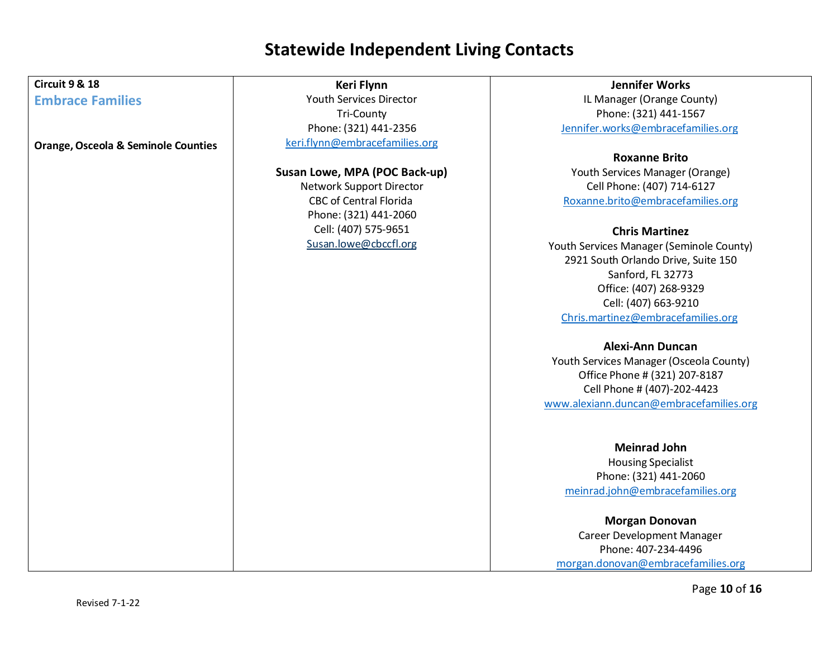| <b>Circuit 9 &amp; 18</b>                      | Keri Flynn                     | <b>Jennifer Works</b>                    |
|------------------------------------------------|--------------------------------|------------------------------------------|
| <b>Embrace Families</b>                        | <b>Youth Services Director</b> | IL Manager (Orange County)               |
|                                                | <b>Tri-County</b>              | Phone: (321) 441-1567                    |
|                                                | Phone: (321) 441-2356          | Jennifer.works@embracefamilies.org       |
| <b>Orange, Osceola &amp; Seminole Counties</b> | keri.flynn@embracefamilies.org |                                          |
|                                                |                                | <b>Roxanne Brito</b>                     |
|                                                | Susan Lowe, MPA (POC Back-up)  | Youth Services Manager (Orange)          |
|                                                | Network Support Director       | Cell Phone: (407) 714-6127               |
|                                                | <b>CBC of Central Florida</b>  | Roxanne.brito@embracefamilies.org        |
|                                                | Phone: (321) 441-2060          |                                          |
|                                                | Cell: (407) 575-9651           | <b>Chris Martinez</b>                    |
|                                                | Susan.lowe@cbccfl.org          | Youth Services Manager (Seminole County) |
|                                                |                                | 2921 South Orlando Drive, Suite 150      |
|                                                |                                | Sanford, FL 32773                        |
|                                                |                                | Office: (407) 268-9329                   |
|                                                |                                | Cell: (407) 663-9210                     |
|                                                |                                | Chris.martinez@embracefamilies.org       |
|                                                |                                | <b>Alexi-Ann Duncan</b>                  |
|                                                |                                | Youth Services Manager (Osceola County)  |
|                                                |                                | Office Phone # (321) 207-8187            |
|                                                |                                | Cell Phone # (407)-202-4423              |
|                                                |                                | www.alexiann.duncan@embracefamilies.org  |
|                                                |                                | <b>Meinrad John</b>                      |
|                                                |                                |                                          |
|                                                |                                | <b>Housing Specialist</b>                |
|                                                |                                | Phone: (321) 441-2060                    |
|                                                |                                | meinrad.john@embracefamilies.org         |
|                                                |                                | <b>Morgan Donovan</b>                    |
|                                                |                                | Career Development Manager               |
|                                                |                                | Phone: 407-234-4496                      |
|                                                |                                | morgan.donovan@embracefamilies.org       |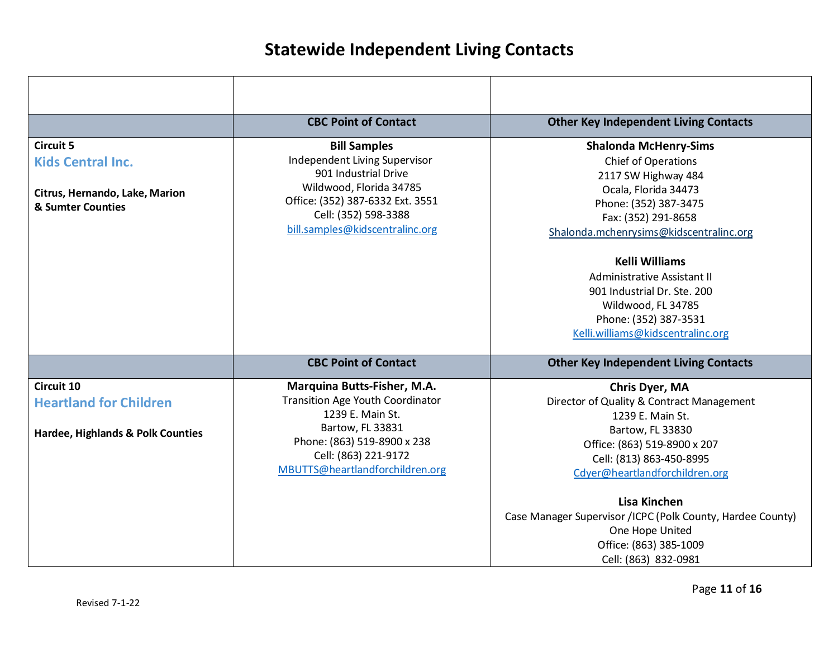|                                              | <b>CBC Point of Contact</b>                                 | <b>Other Key Independent Living Contacts</b>               |
|----------------------------------------------|-------------------------------------------------------------|------------------------------------------------------------|
| <b>Circuit 5</b>                             | <b>Bill Samples</b>                                         | <b>Shalonda McHenry-Sims</b>                               |
| <b>Kids Central Inc.</b>                     | Independent Living Supervisor                               | Chief of Operations                                        |
|                                              | 901 Industrial Drive                                        | 2117 SW Highway 484                                        |
| Citrus, Hernando, Lake, Marion               | Wildwood, Florida 34785<br>Office: (352) 387-6332 Ext. 3551 | Ocala, Florida 34473                                       |
| & Sumter Counties                            | Cell: (352) 598-3388                                        | Phone: (352) 387-3475<br>Fax: (352) 291-8658               |
|                                              | bill.samples@kidscentralinc.org                             | Shalonda.mchenrysims@kidscentralinc.org                    |
|                                              |                                                             |                                                            |
|                                              |                                                             | <b>Kelli Williams</b>                                      |
|                                              |                                                             | Administrative Assistant II                                |
|                                              |                                                             | 901 Industrial Dr. Ste. 200                                |
|                                              |                                                             | Wildwood, FL 34785                                         |
|                                              |                                                             | Phone: (352) 387-3531                                      |
|                                              |                                                             | Kelli.williams@kidscentralinc.org                          |
|                                              | <b>CBC Point of Contact</b>                                 | <b>Other Key Independent Living Contacts</b>               |
| Circuit 10                                   | Marquina Butts-Fisher, M.A.                                 | Chris Dyer, MA                                             |
| <b>Heartland for Children</b>                | <b>Transition Age Youth Coordinator</b>                     | Director of Quality & Contract Management                  |
|                                              | 1239 E. Main St.                                            | 1239 E. Main St.                                           |
| <b>Hardee, Highlands &amp; Polk Counties</b> | Bartow, FL 33831                                            | Bartow, FL 33830                                           |
|                                              | Phone: (863) 519-8900 x 238                                 | Office: (863) 519-8900 x 207                               |
|                                              | Cell: (863) 221-9172                                        | Cell: (813) 863-450-8995                                   |
|                                              | MBUTTS@heartlandforchildren.org                             | Cdyer@heartlandforchildren.org                             |
|                                              |                                                             |                                                            |
|                                              |                                                             | Lisa Kinchen                                               |
|                                              |                                                             | Case Manager Supervisor /ICPC (Polk County, Hardee County) |
|                                              |                                                             | One Hope United                                            |
|                                              |                                                             | Office: (863) 385-1009                                     |
|                                              |                                                             | Cell: (863) 832-0981                                       |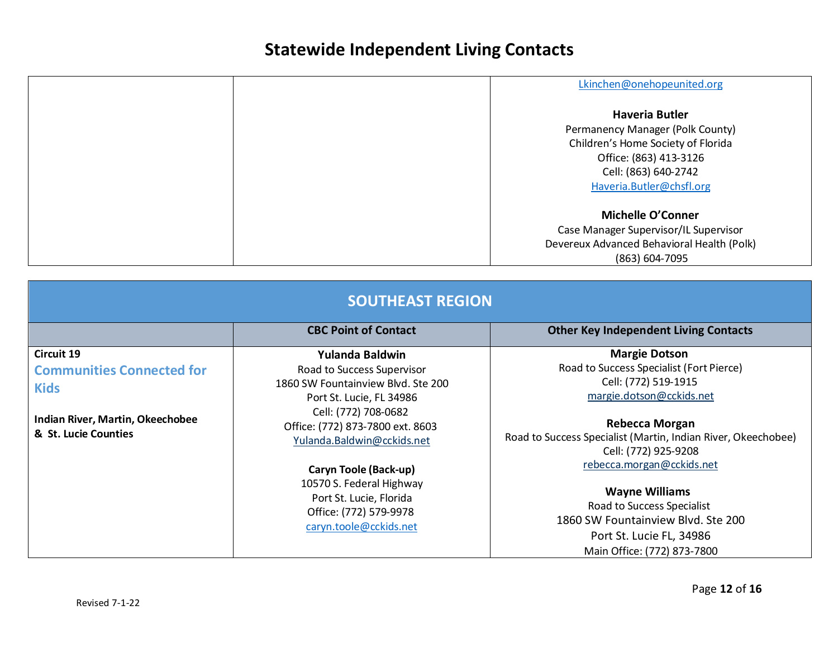| Lkinchen@onehopeunited.org                 |
|--------------------------------------------|
| <b>Haveria Butler</b>                      |
| Permanency Manager (Polk County)           |
| Children's Home Society of Florida         |
| Office: (863) 413-3126                     |
| Cell: (863) 640-2742                       |
| Haveria.Butler@chsfl.org                   |
| <b>Michelle O'Conner</b>                   |
| Case Manager Supervisor/IL Supervisor      |
| Devereux Advanced Behavioral Health (Polk) |
| (863) 604-7095                             |

| <b>SOUTHEAST REGION</b>                                                                                                   |                                                                                                                                                                                                                                                                                                                                               |                                                                                                                                                                                                                                                                                                                                                                                                                             |
|---------------------------------------------------------------------------------------------------------------------------|-----------------------------------------------------------------------------------------------------------------------------------------------------------------------------------------------------------------------------------------------------------------------------------------------------------------------------------------------|-----------------------------------------------------------------------------------------------------------------------------------------------------------------------------------------------------------------------------------------------------------------------------------------------------------------------------------------------------------------------------------------------------------------------------|
|                                                                                                                           | <b>CBC Point of Contact</b>                                                                                                                                                                                                                                                                                                                   | <b>Other Key Independent Living Contacts</b>                                                                                                                                                                                                                                                                                                                                                                                |
| Circuit 19<br><b>Communities Connected for</b><br><b>Kids</b><br>Indian River, Martin, Okeechobee<br>& St. Lucie Counties | Yulanda Baldwin<br>Road to Success Supervisor<br>1860 SW Fountainview Blvd. Ste 200<br>Port St. Lucie, FL 34986<br>Cell: (772) 708-0682<br>Office: (772) 873-7800 ext. 8603<br>Yulanda.Baldwin@cckids.net<br>Caryn Toole (Back-up)<br>10570 S. Federal Highway<br>Port St. Lucie, Florida<br>Office: (772) 579-9978<br>caryn.toole@cckids.net | <b>Margie Dotson</b><br>Road to Success Specialist (Fort Pierce)<br>Cell: (772) 519-1915<br>margie.dotson@cckids.net<br><b>Rebecca Morgan</b><br>Road to Success Specialist (Martin, Indian River, Okeechobee)<br>Cell: (772) 925-9208<br>rebecca.morgan@cckids.net<br><b>Wayne Williams</b><br>Road to Success Specialist<br>1860 SW Fountainview Blvd. Ste 200<br>Port St. Lucie FL, 34986<br>Main Office: (772) 873-7800 |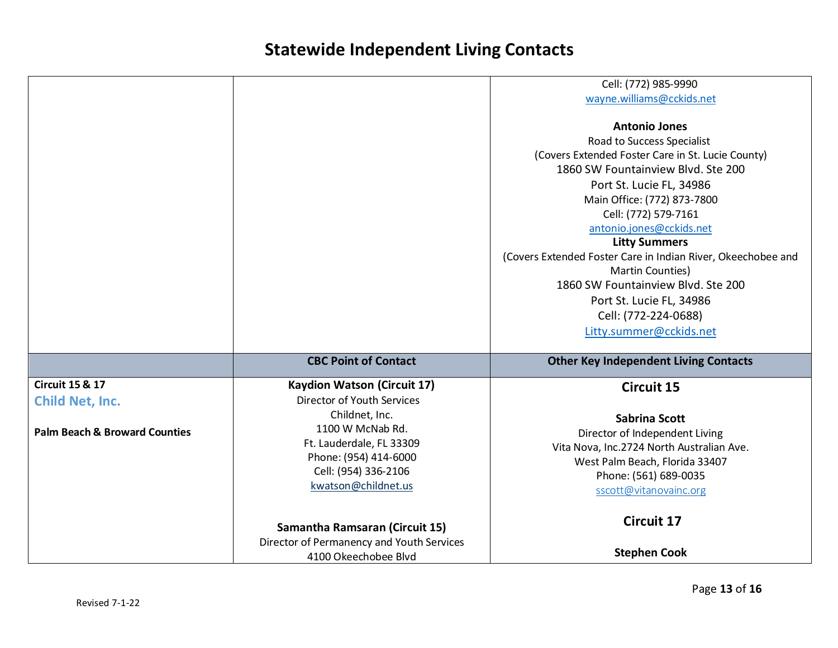|                                          |                                           | Cell: (772) 985-9990                                         |
|------------------------------------------|-------------------------------------------|--------------------------------------------------------------|
|                                          |                                           | wayne.williams@cckids.net                                    |
|                                          |                                           |                                                              |
|                                          |                                           | <b>Antonio Jones</b>                                         |
|                                          |                                           | Road to Success Specialist                                   |
|                                          |                                           | (Covers Extended Foster Care in St. Lucie County)            |
|                                          |                                           | 1860 SW Fountainview Blvd. Ste 200                           |
|                                          |                                           | Port St. Lucie FL, 34986                                     |
|                                          |                                           | Main Office: (772) 873-7800                                  |
|                                          |                                           | Cell: (772) 579-7161                                         |
|                                          |                                           | antonio.jones@cckids.net                                     |
|                                          |                                           | <b>Litty Summers</b>                                         |
|                                          |                                           | (Covers Extended Foster Care in Indian River, Okeechobee and |
|                                          |                                           | Martin Counties)                                             |
|                                          |                                           | 1860 SW Fountainview Blvd. Ste 200                           |
|                                          |                                           | Port St. Lucie FL, 34986                                     |
|                                          |                                           | Cell: (772-224-0688)                                         |
|                                          |                                           | Litty.summer@cckids.net                                      |
|                                          |                                           |                                                              |
|                                          | <b>CBC Point of Contact</b>               | <b>Other Key Independent Living Contacts</b>                 |
| <b>Circuit 15 &amp; 17</b>               | <b>Kaydion Watson (Circuit 17)</b>        | <b>Circuit 15</b>                                            |
| <b>Child Net, Inc.</b>                   | <b>Director of Youth Services</b>         |                                                              |
|                                          | Childnet, Inc.                            |                                                              |
| <b>Palm Beach &amp; Broward Counties</b> | 1100 W McNab Rd.                          | <b>Sabrina Scott</b>                                         |
|                                          | Ft. Lauderdale, FL 33309                  | Director of Independent Living                               |
|                                          | Phone: (954) 414-6000                     | Vita Nova, Inc.2724 North Australian Ave.                    |
|                                          | Cell: (954) 336-2106                      | West Palm Beach, Florida 33407                               |
|                                          | kwatson@childnet.us                       | Phone: (561) 689-0035                                        |
|                                          |                                           | sscott@vitanovainc.org                                       |
|                                          |                                           |                                                              |
|                                          | <b>Samantha Ramsaran (Circuit 15)</b>     | <b>Circuit 17</b>                                            |
|                                          | Director of Permanency and Youth Services |                                                              |
|                                          | 4100 Okeechobee Blvd                      | <b>Stephen Cook</b>                                          |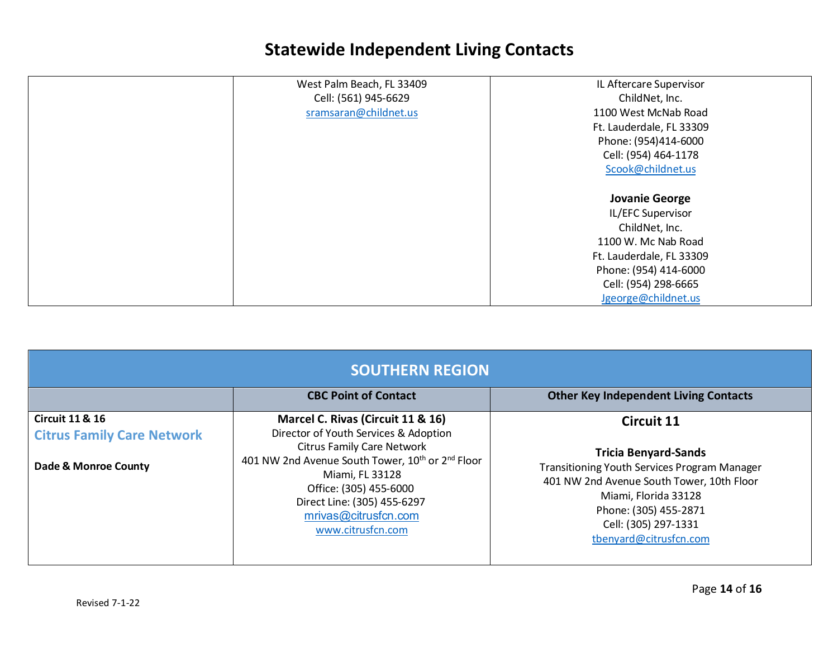| West Palm Beach, FL 33409<br>IL Aftercare Supervisor |
|------------------------------------------------------|
| Cell: (561) 945-6629<br>ChildNet, Inc.               |
| sramsaran@childnet.us<br>1100 West McNab Road        |
| Ft. Lauderdale, FL 33309                             |
| Phone: (954)414-6000                                 |
| Cell: (954) 464-1178                                 |
| Scook@childnet.us                                    |
|                                                      |
| <b>Jovanie George</b>                                |
| IL/EFC Supervisor                                    |
| ChildNet, Inc.                                       |
| 1100 W. Mc Nab Road                                  |
| Ft. Lauderdale, FL 33309                             |
| Phone: (954) 414-6000                                |
| Cell: (954) 298-6665                                 |
| Jgeorge@childnet.us                                  |

| <b>SOUTHERN REGION</b>                                                                  |                                                                                                                                                                                                                                                                                                                      |                                                                                                                                                                                                                                                         |
|-----------------------------------------------------------------------------------------|----------------------------------------------------------------------------------------------------------------------------------------------------------------------------------------------------------------------------------------------------------------------------------------------------------------------|---------------------------------------------------------------------------------------------------------------------------------------------------------------------------------------------------------------------------------------------------------|
|                                                                                         | <b>CBC Point of Contact</b>                                                                                                                                                                                                                                                                                          | <b>Other Key Independent Living Contacts</b>                                                                                                                                                                                                            |
| <b>Circuit 11 &amp; 16</b><br><b>Citrus Family Care Network</b><br>Dade & Monroe County | Marcel C. Rivas (Circuit 11 & 16)<br>Director of Youth Services & Adoption<br><b>Citrus Family Care Network</b><br>401 NW 2nd Avenue South Tower, 10 <sup>th</sup> or 2 <sup>nd</sup> Floor<br>Miami, FL 33128<br>Office: (305) 455-6000<br>Direct Line: (305) 455-6297<br>mrivas@citrusfcn.com<br>www.citrusfcn.com | <b>Circuit 11</b><br><b>Tricia Benyard-Sands</b><br><b>Transitioning Youth Services Program Manager</b><br>401 NW 2nd Avenue South Tower, 10th Floor<br>Miami, Florida 33128<br>Phone: (305) 455-2871<br>Cell: (305) 297-1331<br>tbenyard@citrusfcn.com |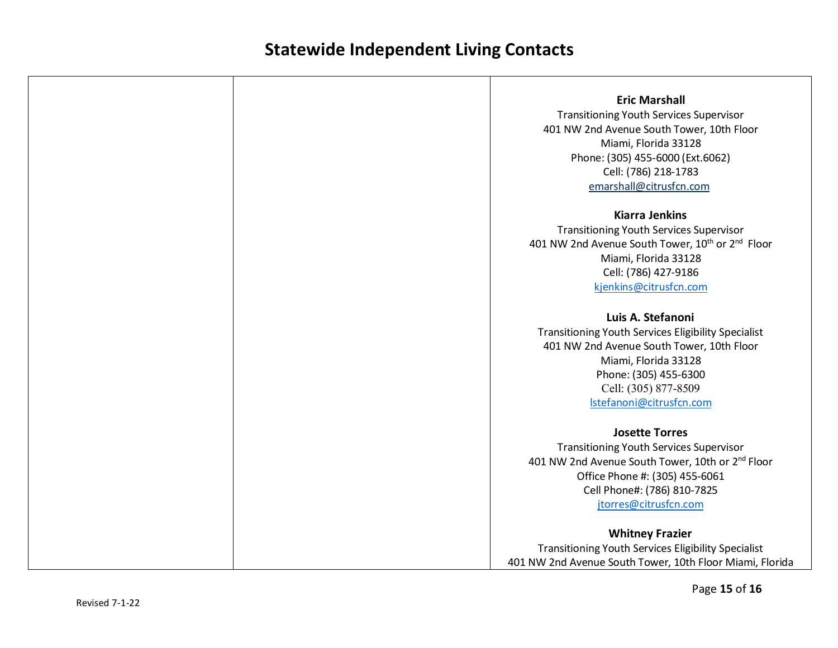| <b>Eric Marshall</b>                                                     |
|--------------------------------------------------------------------------|
|                                                                          |
| <b>Transitioning Youth Services Supervisor</b>                           |
| 401 NW 2nd Avenue South Tower, 10th Floor<br>Miami, Florida 33128        |
|                                                                          |
| Phone: (305) 455-6000 (Ext.6062)                                         |
| Cell: (786) 218-1783                                                     |
| emarshall@citrusfcn.com                                                  |
| <b>Kiarra Jenkins</b>                                                    |
| <b>Transitioning Youth Services Supervisor</b>                           |
| 401 NW 2nd Avenue South Tower, 10 <sup>th</sup> or 2 <sup>nd</sup> Floor |
| Miami, Florida 33128                                                     |
| Cell: (786) 427-9186                                                     |
| kjenkins@citrusfcn.com                                                   |
| Luis A. Stefanoni                                                        |
| Transitioning Youth Services Eligibility Specialist                      |
| 401 NW 2nd Avenue South Tower, 10th Floor                                |
| Miami, Florida 33128                                                     |
| Phone: (305) 455-6300                                                    |
| Cell: (305) 877-8509                                                     |
| Istefanoni@citrusfcn.com                                                 |
| <b>Josette Torres</b>                                                    |
| <b>Transitioning Youth Services Supervisor</b>                           |
| 401 NW 2nd Avenue South Tower, 10th or 2 <sup>nd</sup> Floor             |
| Office Phone #: (305) 455-6061                                           |
| Cell Phone#: (786) 810-7825                                              |
| jtorres@citrusfcn.com                                                    |
| <b>Whitney Frazier</b>                                                   |
| Transitioning Youth Services Eligibility Specialist                      |
| 401 NW 2nd Avenue South Tower, 10th Floor Miami, Florida                 |